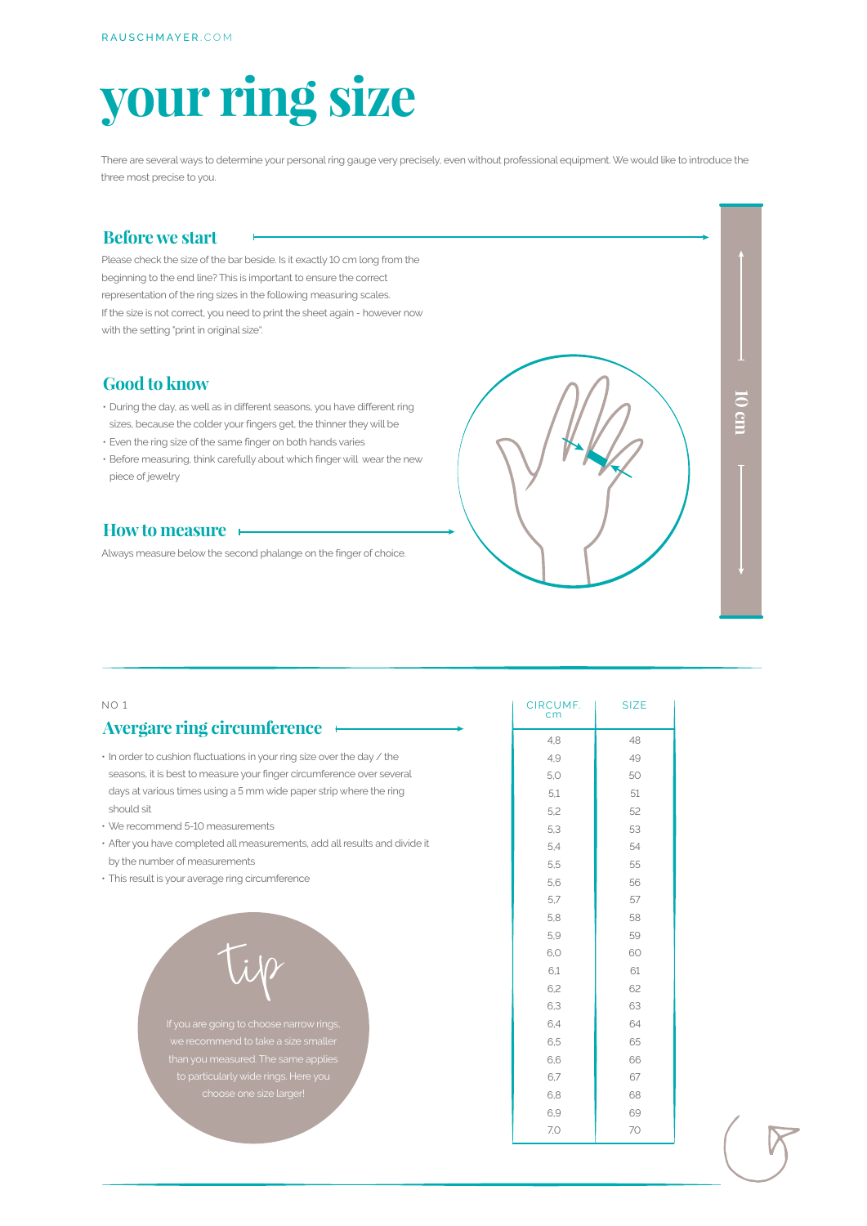# **your ring size**

There are several ways to determine your personal ring gauge very precisely, even without professional equipment. We would like to introduce the three most precise to you.

### **Before we start**

Please check the size of the bar beside. Is it exactly 10 cm long from the beginning to the end line? This is important to ensure the correct representation of the ring sizes in the following measuring scales. If the size is not correct, you need to print the sheet again - however now with the setting "print in original size".

### **Good to know**

- During the day, as well as in different seasons, you have different ring sizes, because the colder your fingers get, the thinner they will be
- Even the ring size of the same finger on both hands varies
- Before measuring, think carefully about which finger will wear the new piece of jewelry

### **How to measure**

Always measure below the second phalange on the finger of choice.



| NO <sub>1</sub>                                                            | CIRCUMF.<br>cm | <b>SIZE</b> |
|----------------------------------------------------------------------------|----------------|-------------|
| Avergare ring circumference +                                              | 4.8            | 48          |
| . In order to cushion fluctuations in your ring size over the day / the    | 4,9            | 49          |
| seasons, it is best to measure your finger circumference over several      | 5,0            | 50          |
| days at various times using a 5 mm wide paper strip where the ring         | 5.1            | 51          |
| should sit                                                                 | 5,2            | 52          |
| • We recommend 5-10 measurements                                           | 5,3            | 53          |
| · After you have completed all measurements, add all results and divide it | 5,4            | 54          |
| by the number of measurements                                              | 5,5            | 55          |
| · This result is your average ring circumference                           | 5.6            | 56          |
|                                                                            | 5,7            | 57          |
|                                                                            | 5,8            | 58          |
|                                                                            | 5,9            | 59          |
|                                                                            | 6.0            | 60          |
|                                                                            | 6,1            | 61          |
|                                                                            | 6.2            | 62          |
|                                                                            | 6,3            | 63          |
| If you are going to choose narrow rings,                                   | 6.4            | 64          |
| we recommend to take a size smaller                                        | 6,5            | 65          |
| than you measured. The same applies                                        | 6.6            | 66          |
| to particularly wide rings. Here you                                       | 6,7            | 67          |
| choose one size larger!                                                    | 6,8            | 68          |
|                                                                            | 6,9            | 69          |
|                                                                            | 7,0            | 70          |